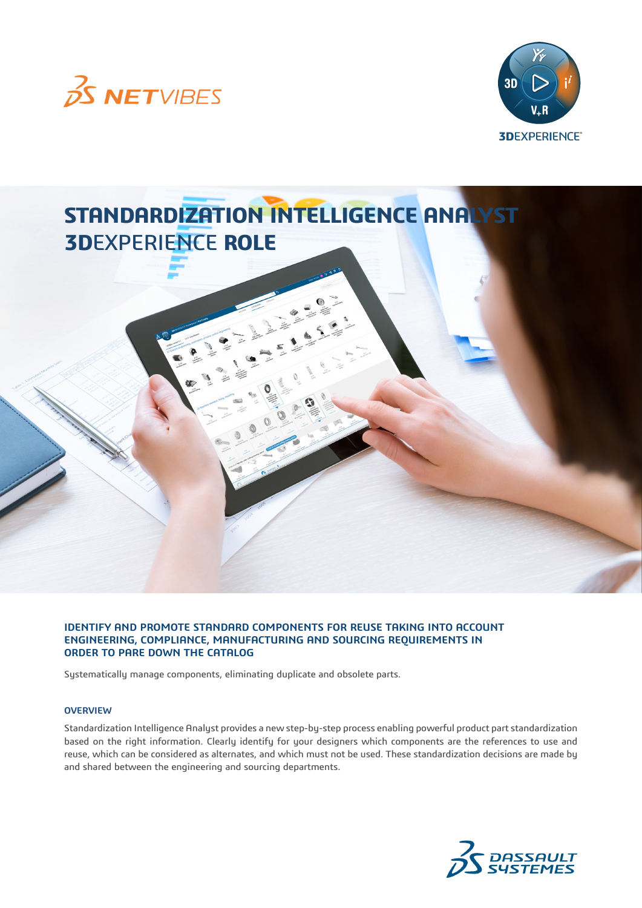



# **STANDARDIZATION INTELLIGENCE ANALYST 3D**EXPERIENCE **ROLE**

**IDENTIFY AND PROMOTE STANDARD COMPONENTS FOR REUSE TAKING INTO ACCOUNT ENGINEERING, COMPLIANCE, MANUFACTURING AND SOURCING REQUIREMENTS IN ORDER TO PARE DOWN THE CATALOG** 

Systematically manage components, eliminating duplicate and obsolete parts.

#### **OVERVIEW**

Standardization Intelligence Analyst provides a new step-by-step process enabling powerful product part standardization based on the right information. Clearly identify for your designers which components are the references to use and reuse, which can be considered as alternates, and which must not be used. These standardization decisions are made by and shared between the engineering and sourcing departments.